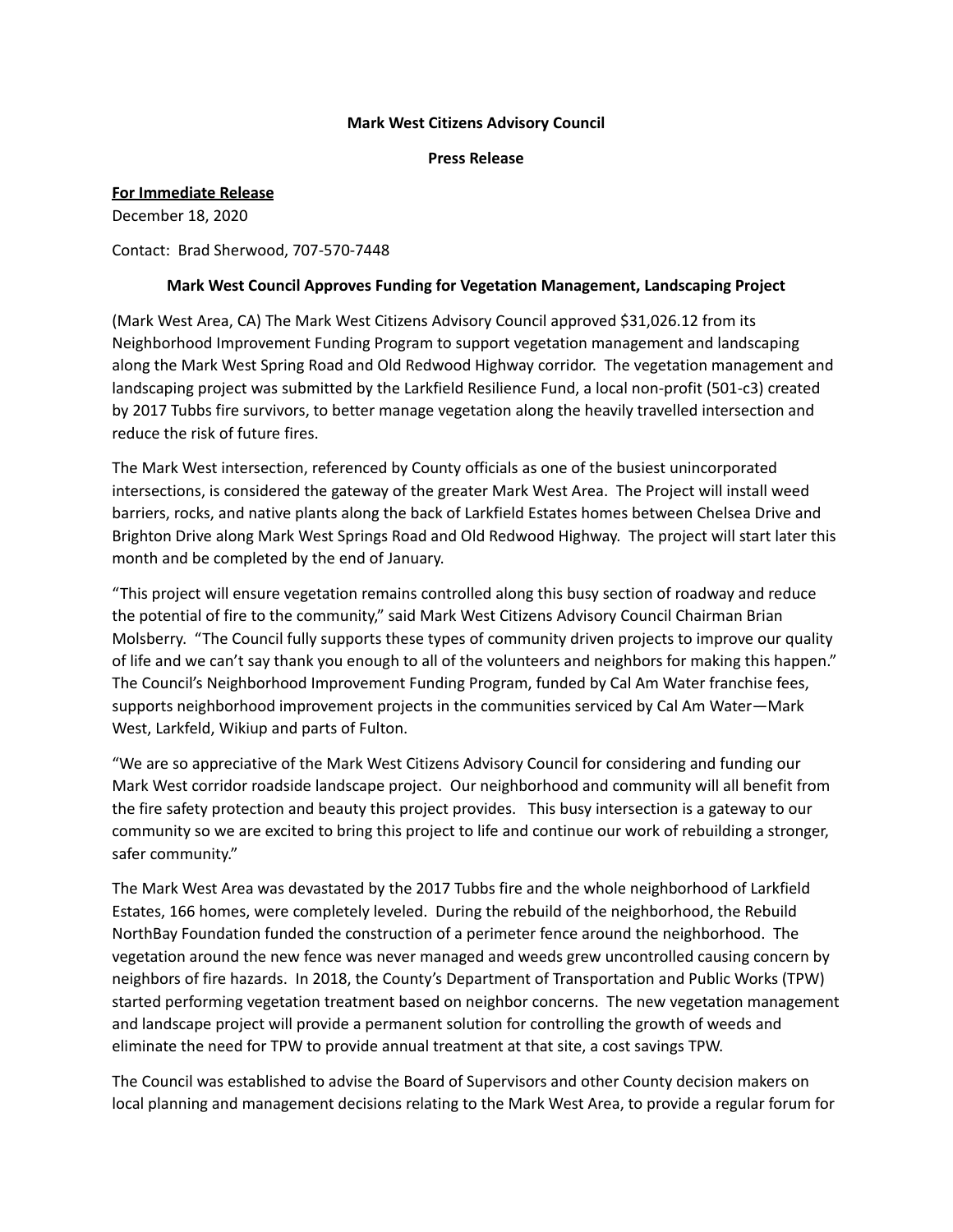## **Mark West Citizens Advisory Council**

**Press Release**

## **For Immediate Release**

December 18, 2020

Contact: Brad Sherwood, 707-570-7448

## **Mark West Council Approves Funding for Vegetation Management, Landscaping Project**

(Mark West Area, CA) The Mark West Citizens Advisory Council approved \$31,026.12 from its Neighborhood Improvement Funding Program to support vegetation management and landscaping along the Mark West Spring Road and Old Redwood Highway corridor. The vegetation management and landscaping project was submitted by the Larkfield Resilience Fund, a local non-profit (501-c3) created by 2017 Tubbs fire survivors, to better manage vegetation along the heavily travelled intersection and reduce the risk of future fires.

The Mark West intersection, referenced by County officials as one of the busiest unincorporated intersections, is considered the gateway of the greater Mark West Area. The Project will install weed barriers, rocks, and native plants along the back of Larkfield Estates homes between Chelsea Drive and Brighton Drive along Mark West Springs Road and Old Redwood Highway. The project will start later this month and be completed by the end of January.

"This project will ensure vegetation remains controlled along this busy section of roadway and reduce the potential of fire to the community," said Mark West Citizens Advisory Council Chairman Brian Molsberry. "The Council fully supports these types of community driven projects to improve our quality of life and we can't say thank you enough to all of the volunteers and neighbors for making this happen." The Council's Neighborhood Improvement Funding Program, funded by Cal Am Water franchise fees, supports neighborhood improvement projects in the communities serviced by Cal Am Water—Mark West, Larkfeld, Wikiup and parts of Fulton.

"We are so appreciative of the Mark West Citizens Advisory Council for considering and funding our Mark West corridor roadside landscape project. Our neighborhood and community will all benefit from the fire safety protection and beauty this project provides. This busy intersection is a gateway to our community so we are excited to bring this project to life and continue our work of rebuilding a stronger, safer community."

The Mark West Area was devastated by the 2017 Tubbs fire and the whole neighborhood of Larkfield Estates, 166 homes, were completely leveled. During the rebuild of the neighborhood, the Rebuild NorthBay Foundation funded the construction of a perimeter fence around the neighborhood. The vegetation around the new fence was never managed and weeds grew uncontrolled causing concern by neighbors of fire hazards. In 2018, the County's Department of Transportation and Public Works (TPW) started performing vegetation treatment based on neighbor concerns. The new vegetation management and landscape project will provide a permanent solution for controlling the growth of weeds and eliminate the need for TPW to provide annual treatment at that site, a cost savings TPW.

The Council was established to advise the Board of Supervisors and other County decision makers on local planning and management decisions relating to the Mark West Area, to provide a regular forum for